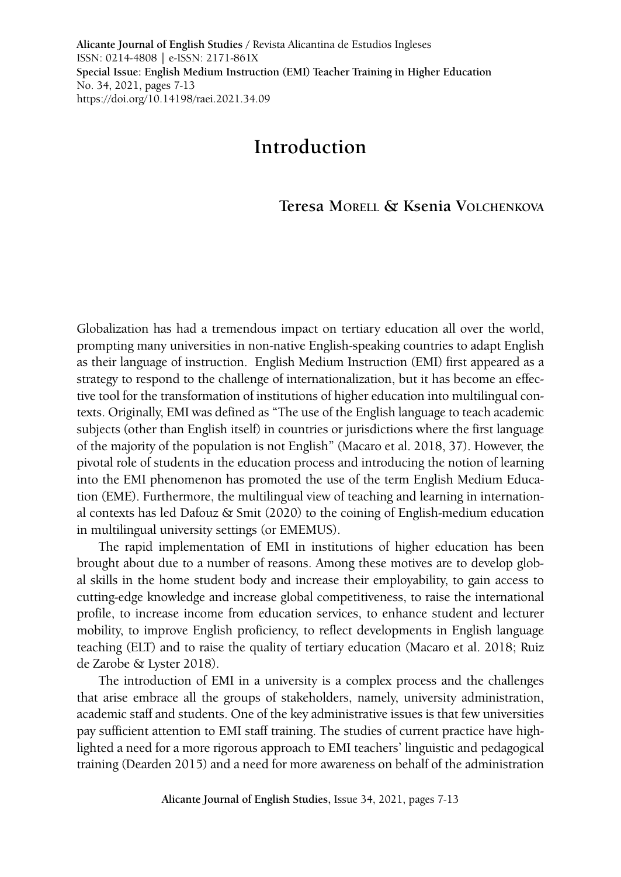**Alicante Journal of English Studies /** Revista Alicantina de Estudios Ingleses ISSN: 0214-4808 | e-ISSN: 2171-861X **Special Issue: English Medium Instruction (EMI) Teacher Training in Higher Education** No. 34, 2021, pages 7-13 <https://doi.org/10.14198/raei.2021.34.09>

## **Introduction**

## **Teresa Morell & Ksenia Volchenkova**

Globalization has had a tremendous impact on tertiary education all over the world, prompting many universities in non-native English-speaking countries to adapt English as their language of instruction. English Medium Instruction (EMI) first appeared as a strategy to respond to the challenge of internationalization, but it has become an effective tool for the transformation of institutions of higher education into multilingual contexts. Originally, EMI was defined as "The use of the English language to teach academic subjects (other than English itself) in countries or jurisdictions where the first language of the majority of the population is not English" (Macaro et al. 2018, 37). However, the pivotal role of students in the education process and introducing the notion of learning into the EMI phenomenon has promoted the use of the term English Medium Education (EME). Furthermore, the multilingual view of teaching and learning in international contexts has led Dafouz  $\&$  Smit (2020) to the coining of English-medium education in multilingual university settings (or EMEMUS).

The rapid implementation of EMI in institutions of higher education has been brought about due to a number of reasons. Among these motives are to develop global skills in the home student body and increase their employability, to gain access to cutting-edge knowledge and increase global competitiveness, to raise the international profile, to increase income from education services, to enhance student and lecturer mobility, to improve English proficiency, to reflect developments in English language teaching (ELT) and to raise the quality of tertiary education (Macaro et al. 2018; Ruiz de Zarobe & Lyster 2018).

The introduction of EMI in a university is a complex process and the challenges that arise embrace all the groups of stakeholders, namely, university administration, academic staff and students. One of the key administrative issues is that few universities pay sufficient attention to EMI staff training. The studies of current practice have highlighted a need for a more rigorous approach to EMI teachers' linguistic and pedagogical training (Dearden 2015) and a need for more awareness on behalf of the administration

**Alicante Journal of English Studies,** Issue 34, 2021, pages 7-13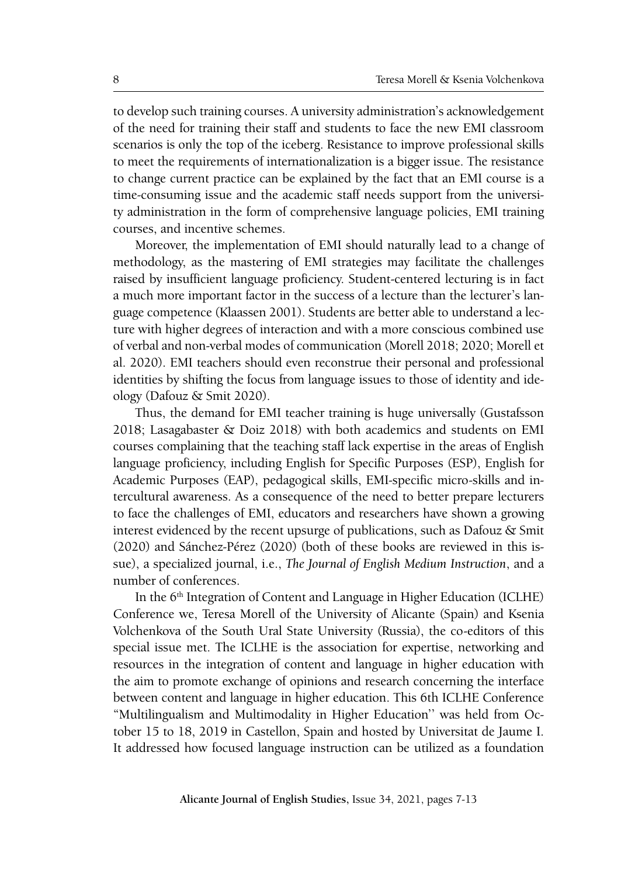to develop such training courses. A university administration's acknowledgement of the need for training their staff and students to face the new EMI classroom scenarios is only the top of the iceberg. Resistance to improve professional skills to meet the requirements of internationalization is a bigger issue. The resistance to change current practice can be explained by the fact that an EMI course is a time-consuming issue and the academic staff needs support from the university administration in the form of comprehensive language policies, EMI training courses, and incentive schemes.

Moreover, the implementation of EMI should naturally lead to a change of methodology, as the mastering of EMI strategies may facilitate the challenges raised by insufficient language proficiency. Student-centered lecturing is in fact a much more important factor in the success of a lecture than the lecturer's language competence (Klaassen 2001). Students are better able to understand a lecture with higher degrees of interaction and with a more conscious combined use of verbal and non-verbal modes of communication (Morell 2018; 2020; Morell et al. 2020). EMI teachers should even reconstrue their personal and professional identities by shifting the focus from language issues to those of identity and ideology (Dafouz & Smit 2020).

Thus, the demand for EMI teacher training is huge universally (Gustafsson 2018; Lasagabaster & Doiz 2018) with both academics and students on EMI courses complaining that the teaching staff lack expertise in the areas of English language proficiency, including English for Specific Purposes (ESP), English for Academic Purposes (EAP), pedagogical skills, EMI-specific micro-skills and intercultural awareness. As a consequence of the need to better prepare lecturers to face the challenges of EMI, educators and researchers have shown a growing interest evidenced by the recent upsurge of publications, such as Dafouz & Smit (2020) and Sánchez-Pérez (2020) (both of these books are reviewed in this issue), a specialized journal, i.e., *The Journal of English Medium Instruction*, and a number of conferences.

In the 6<sup>th</sup> Integration of Content and Language in Higher Education (ICLHE) Conference we, Teresa Morell of the University of Alicante (Spain) and Ksenia Volchenkova of the South Ural State University (Russia), the co-editors of this special issue met. The ICLHE is the association for expertise, networking and resources in the integration of content and language in higher education with the aim to promote exchange of opinions and research concerning the interface between content and language in higher education. This 6th ICLHE Conference "Multilingualism and Multimodality in Higher Education'' was held from October 15 to 18, 2019 in Castellon, Spain and hosted by Universitat de Jaume I. It addressed how focused language instruction can be utilized as a foundation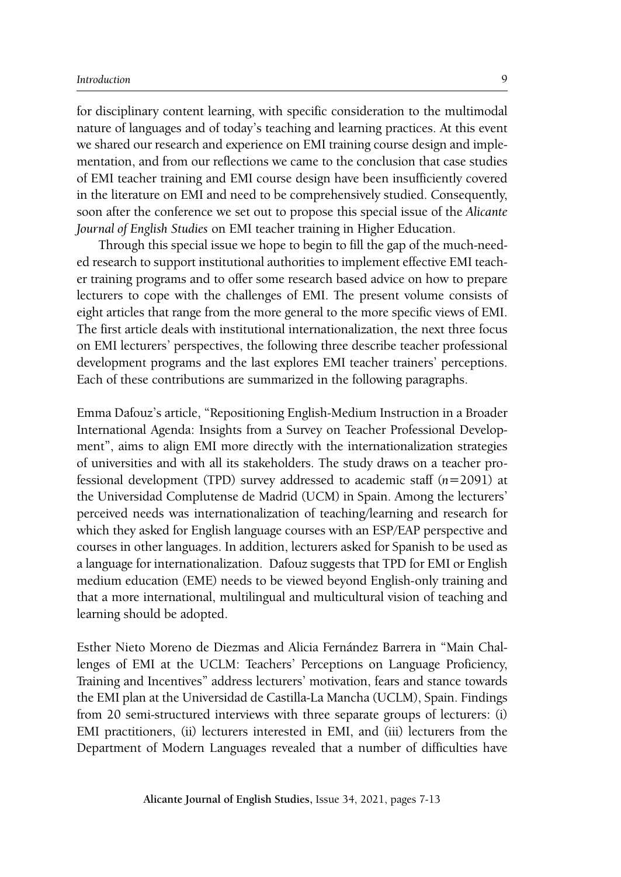for disciplinary content learning, with specific consideration to the multimodal nature of languages and of today's teaching and learning practices. At this event we shared our research and experience on EMI training course design and implementation, and from our reflections we came to the conclusion that case studies of EMI teacher training and EMI course design have been insufficiently covered in the literature on EMI and need to be comprehensively studied. Consequently, soon after the conference we set out to propose this special issue of the *Alicante Journal of English Studies* on EMI teacher training in Higher Education.

Through this special issue we hope to begin to fill the gap of the much-needed research to support institutional authorities to implement effective EMI teacher training programs and to offer some research based advice on how to prepare lecturers to cope with the challenges of EMI. The present volume consists of eight articles that range from the more general to the more specific views of EMI. The first article deals with institutional internationalization, the next three focus on EMI lecturers' perspectives, the following three describe teacher professional development programs and the last explores EMI teacher trainers' perceptions. Each of these contributions are summarized in the following paragraphs.

Emma Dafouz's article, "Repositioning English-Medium Instruction in a Broader International Agenda: Insights from a Survey on Teacher Professional Development", aims to align EMI more directly with the internationalization strategies of universities and with all its stakeholders. The study draws on a teacher professional development (TPD) survey addressed to academic staff (*n=*2091) at the Universidad Complutense de Madrid (UCM) in Spain. Among the lecturers' perceived needs was internationalization of teaching/learning and research for which they asked for English language courses with an ESP/EAP perspective and courses in other languages. In addition, lecturers asked for Spanish to be used as a language for internationalization. Dafouz suggests that TPD for EMI or English medium education (EME) needs to be viewed beyond English-only training and that a more international, multilingual and multicultural vision of teaching and learning should be adopted.

Esther Nieto Moreno de Diezmas and Alicia Fernández Barrera in "Main Challenges of EMI at the UCLM: Teachers' Perceptions on Language Proficiency, Training and Incentives" address lecturers' motivation, fears and stance towards the EMI plan at the Universidad de Castilla-La Mancha (UCLM), Spain. Findings from 20 semi-structured interviews with three separate groups of lecturers: (i) EMI practitioners, (ii) lecturers interested in EMI, and (iii) lecturers from the Department of Modern Languages revealed that a number of difficulties have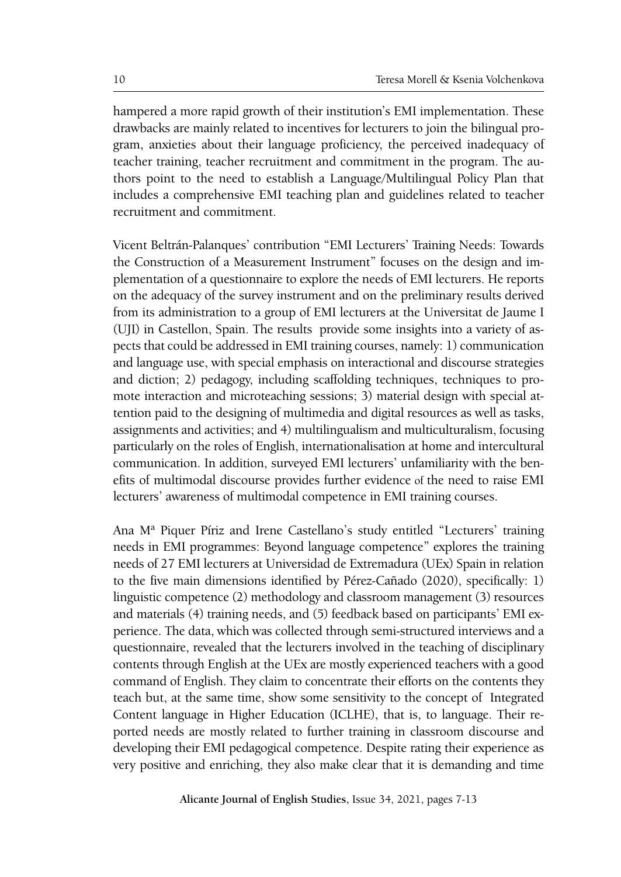hampered a more rapid growth of their institution's EMI implementation. These drawbacks are mainly related to incentives for lecturers to join the bilingual program, anxieties about their language proficiency, the perceived inadequacy of teacher training, teacher recruitment and commitment in the program. The authors point to the need to establish a Language/Multilingual Policy Plan that includes a comprehensive EMI teaching plan and guidelines related to teacher recruitment and commitment.

Vicent Beltrán-Palanques' contribution "EMI Lecturers' Training Needs: Towards the Construction of a Measurement Instrument" focuses on the design and implementation of a questionnaire to explore the needs of EMI lecturers. He reports on the adequacy of the survey instrument and on the preliminary results derived from its administration to a group of EMI lecturers at the Universitat de Jaume I (UJI) in Castellon, Spain. The results provide some insights into a variety of aspects that could be addressed in EMI training courses, namely: 1) communication and language use, with special emphasis on interactional and discourse strategies and diction; 2) pedagogy, including scaffolding techniques, techniques to promote interaction and microteaching sessions; 3) material design with special attention paid to the designing of multimedia and digital resources as well as tasks, assignments and activities; and 4) multilingualism and multiculturalism, focusing particularly on the roles of English, internationalisation at home and intercultural communication. In addition, surveyed EMI lecturers' unfamiliarity with the benefits of multimodal discourse provides further evidence of the need to raise EMI lecturers' awareness of multimodal competence in EMI training courses.

Ana Mª Piquer Píriz and Irene Castellano's study entitled "Lecturers' training needs in EMI programmes: Beyond language competence" explores the training needs of 27 EMI lecturers at Universidad de Extremadura (UEx) Spain in relation to the five main dimensions identified by Pérez-Cañado (2020), specifically: 1) linguistic competence (2) methodology and classroom management (3) resources and materials (4) training needs, and (5) feedback based on participants' EMI experience. The data, which was collected through semi-structured interviews and a questionnaire, revealed that the lecturers involved in the teaching of disciplinary contents through English at the UEx are mostly experienced teachers with a good command of English. They claim to concentrate their efforts on the contents they teach but, at the same time, show some sensitivity to the concept of Integrated Content language in Higher Education (ICLHE), that is, to language. Their reported needs are mostly related to further training in classroom discourse and developing their EMI pedagogical competence. Despite rating their experience as very positive and enriching, they also make clear that it is demanding and time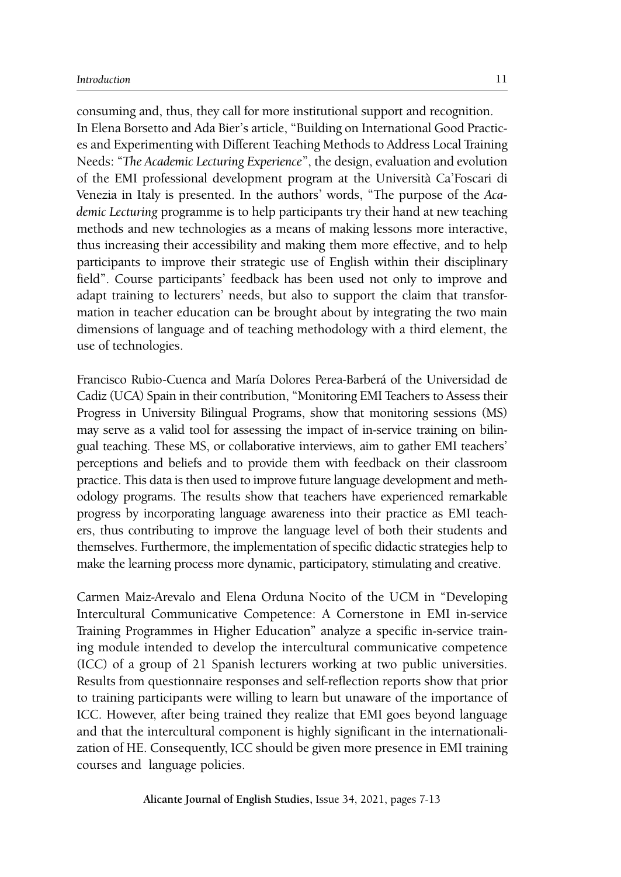consuming and, thus, they call for more institutional support and recognition. In Elena Borsetto and Ada Bier's article, "Building on International Good Practices and Experimenting with Different Teaching Methods to Address Local Training Needs: "*The Academic Lecturing Experience*", the design, evaluation and evolution of the EMI professional development program at the Università Ca'Foscari di Venezia in Italy is presented. In the authors' words, "The purpose of the *Academic Lecturing* programme is to help participants try their hand at new teaching methods and new technologies as a means of making lessons more interactive, thus increasing their accessibility and making them more effective, and to help participants to improve their strategic use of English within their disciplinary field". Course participants' feedback has been used not only to improve and adapt training to lecturers' needs, but also to support the claim that transformation in teacher education can be brought about by integrating the two main dimensions of language and of teaching methodology with a third element, the use of technologies.

Francisco Rubio-Cuenca and María Dolores Perea-Barberá of the Universidad de Cadiz (UCA) Spain in their contribution, "Monitoring EMI Teachers to Assess their Progress in University Bilingual Programs, show that monitoring sessions (MS) may serve as a valid tool for assessing the impact of in-service training on bilingual teaching. These MS, or collaborative interviews, aim to gather EMI teachers' perceptions and beliefs and to provide them with feedback on their classroom practice. This data is then used to improve future language development and methodology programs. The results show that teachers have experienced remarkable progress by incorporating language awareness into their practice as EMI teachers, thus contributing to improve the language level of both their students and themselves. Furthermore, the implementation of specific didactic strategies help to make the learning process more dynamic, participatory, stimulating and creative.

Carmen Maiz-Arevalo and Elena Orduna Nocito of the UCM in "Developing Intercultural Communicative Competence: A Cornerstone in EMI in-service Training Programmes in Higher Education" analyze a specific in-service training module intended to develop the intercultural communicative competence (ICC) of a group of 21 Spanish lecturers working at two public universities. Results from questionnaire responses and self-reflection reports show that prior to training participants were willing to learn but unaware of the importance of ICC. However, after being trained they realize that EMI goes beyond language and that the intercultural component is highly significant in the internationalization of HE. Consequently, ICC should be given more presence in EMI training courses and language policies.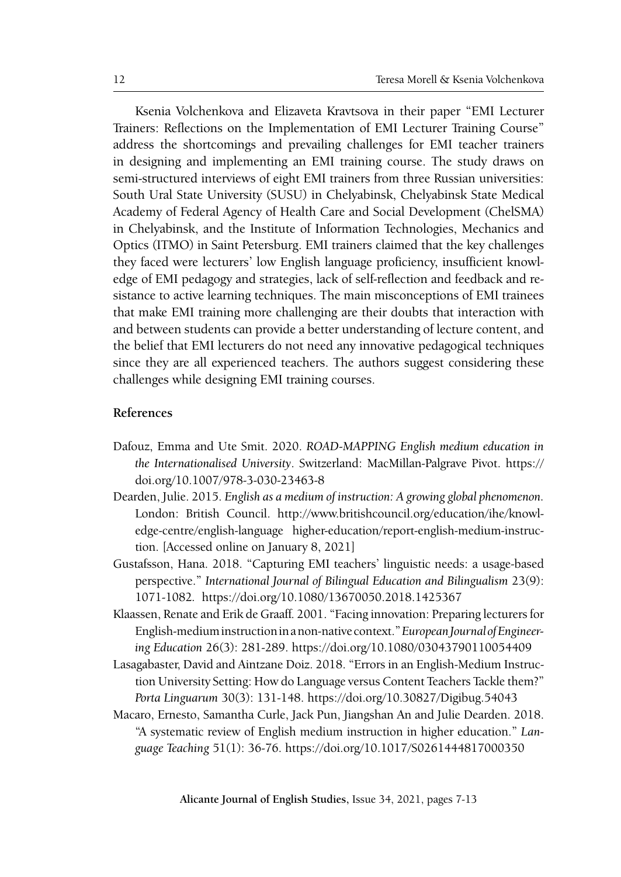Ksenia Volchenkova and Elizaveta Kravtsova in their paper "EMI Lecturer Trainers: Reflections on the Implementation of EMI Lecturer Training Course" address the shortcomings and prevailing challenges for EMI teacher trainers in designing and implementing an EMI training course. The study draws on semi-structured interviews of eight EMI trainers from three Russian universities: South Ural State University (SUSU) in Chelyabinsk, Chelyabinsk State Medical Academy of Federal Agency of Health Care and Social Development (ChelSMA) in Chelyabinsk, and the Institute of Information Technologies, Mechanics and Optics (ITMO) in Saint Petersburg. EMI trainers claimed that the key challenges they faced were lecturers' low English language proficiency, insufficient knowledge of EMI pedagogy and strategies, lack of self-reflection and feedback and resistance to active learning techniques. The main misconceptions of EMI trainees that make EMI training more challenging are their doubts that interaction with and between students can provide a better understanding of lecture content, and the belief that EMI lecturers do not need any innovative pedagogical techniques since they are all experienced teachers. The authors suggest considering these challenges while designing EMI training courses.

## **References**

- Dafouz, Emma and Ute Smit. 2020. *ROAD-MAPPING English medium education in the Internationalised University*. Switzerland: MacMillan-Palgrave Pivot. https:// doi.org/10.1007/978-3-030-23463-8
- Dearden, Julie. 2015. *English as a medium of instruction: A growing global phenomenon.*  London: British Council. http://www.britishcouncil.org/education/ihe/knowledge-centre/english-language higher-education/report-english-medium-instruction. [Accessed online on January 8, 2021]
- Gustafsson, Hana. 2018. "Capturing EMI teachers' linguistic needs: a usage-based perspective." *International Journal of Bilingual Education and Bilingualism* 23(9): 1071-1082*.* https://doi.org/10.1080/13670050.2018.1425367
- Klaassen, Renate and Erik de Graaff. 2001. "Facing innovation: Preparing lecturers for English-medium instruction in a non-native context." *European Journal of Engineering Education* 26(3): 281-289. https://doi.org/10.1080/03043790110054409
- Lasagabaster, David and Aintzane Doiz. 2018. "Errors in an English-Medium Instruction University Setting: How do Language versus Content Teachers Tackle them?" *Porta Linguarum* 30(3): 131-148. https://doi.org/10.30827/Digibug.54043
- Macaro, Ernesto, Samantha Curle, Jack Pun, Jiangshan An and Julie Dearden. 2018. "A systematic review of English medium instruction in higher education." *Language Teaching* 51(1): 36-76. https://doi.org/10.1017/S0261444817000350